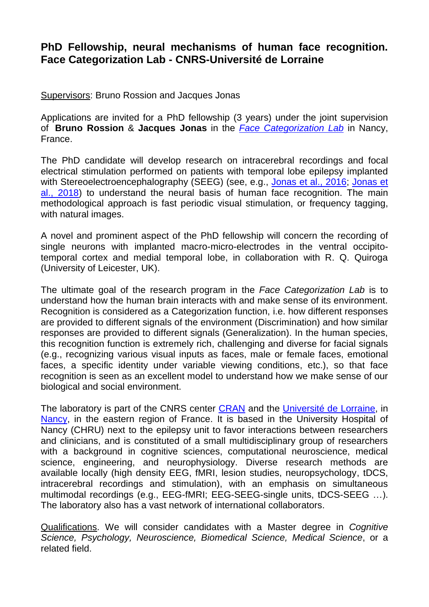## **PhD Fellowship, neural mechanisms of human face recognition. Face Categorization Lab - CNRS-Université de Lorraine**

Supervisors: Bruno Rossion and Jacques Jonas

Applications are invited for a PhD fellowship (3 years) under the joint supervision of **Bruno Rossion** & **Jacques Jonas** in the *[Face Categorization Lab](https://face-categorization-lab.webnode.com/)* in Nancy, France.

The PhD candidate will develop research on intracerebral recordings and focal electrical stimulation performed on patients with temporal lobe epilepsy implanted with Stereoelectroencephalography (SEEG) (see, e.g., [Jonas et al., 2016;](https://face-categorization-lab.webnode.com/_files/200001884-9f61fa05e8/Jonas%20et%20al.%20PNAS%202016.pdf) Jonas et [al., 2018\)](https://face-categorization-lab.webnode.com/_files/200001914-dacd4dc6cf/Jonas%20et%20al.%20Cortex%202018.pdf) to understand the neural basis of human face recognition. The main methodological approach is fast periodic visual stimulation, or frequency tagging, with natural images.

A novel and prominent aspect of the PhD fellowship will concern the recording of single neurons with implanted macro-micro-electrodes in the ventral occipitotemporal cortex and medial temporal lobe, in collaboration with R. Q. Quiroga (University of Leicester, UK).

The ultimate goal of the research program in the *Face Categorization Lab* is to understand how the human brain interacts with and make sense of its environment. Recognition is considered as a Categorization function, i.e. how different responses are provided to different signals of the environment (Discrimination) and how similar responses are provided to different signals (Generalization). In the human species, this recognition function is extremely rich, challenging and diverse for facial signals (e.g., recognizing various visual inputs as faces, male or female faces, emotional faces, a specific identity under variable viewing conditions, etc.), so that face recognition is seen as an excellent model to understand how we make sense of our biological and social environment.

The laboratory is part of the CNRS center [CRAN](http://www.cran.univ-lorraine.fr/index.php?codelangue=EN) and the [Université de Lorraine,](http://welcome.univ-lorraine.fr/en) in [Nancy,](https://www.nancy.fr/nancy-in-english-995.html) in the eastern region of France. It is based in the University Hospital of Nancy (CHRU) next to the epilepsy unit to favor interactions between researchers and clinicians, and is constituted of a small multidisciplinary group of researchers with a background in cognitive sciences, computational neuroscience, medical science, engineering, and neurophysiology. Diverse research methods are available locally (high density EEG, fMRI, lesion studies, neuropsychology, tDCS, intracerebral recordings and stimulation), with an emphasis on simultaneous multimodal recordings (e.g., EEG-fMRI; EEG-SEEG-single units, tDCS-SEEG …). The laboratory also has a vast network of international collaborators.

Qualifications. We will consider candidates with a Master degree in *Cognitive Science, Psychology, Neuroscience, Biomedical Science, Medical Science*, or a related field.